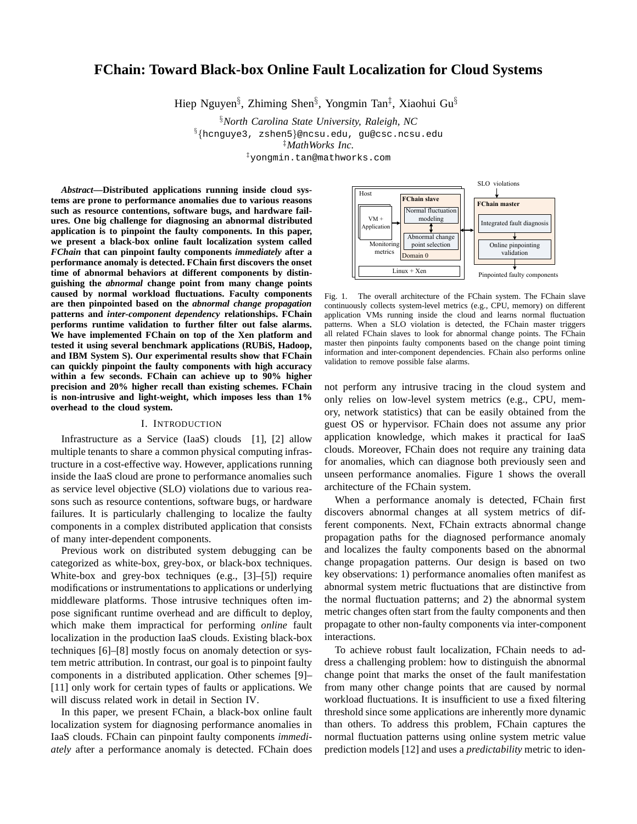# **FChain: Toward Black-box Online Fault Localization for Cloud Systems**

Hiep Nguyen<sup>§</sup>, Zhiming Shen<sup>§</sup>, Yongmin Tan<sup>‡</sup>, Xiaohui Gu<sup>§</sup>

§*North Carolina State University, Raleigh, NC*  $\S \left\{ \text{hcnguye} 3\,,\text{ zshen5}\right\}$ @ncsu.edu, gu@csc.ncsu.edu

‡*MathWorks Inc.*

‡yongmin.tan@mathworks.com

*Abstract***—Distributed applications running inside cloud systems are prone to performance anomalies due to various reasons such as resource contentions, software bugs, and hardware failures. One big challenge for diagnosing an abnormal distributed application is to pinpoint the faulty components. In this paper, we present a black-box online fault localization system called** *FChain* **that can pinpoint faulty components** *immediately* **after a performance anomaly is detected. FChain first discovers the onset time of abnormal behaviors at different components by distinguishing the** *abnormal* **change point from many change points caused by normal workload fluctuations. Faculty components are then pinpointed based on the** *abnormal change propagation* **patterns and** *inter-component dependency* **relationships. FChain performs runtime validation to further filter out false alarms. We have implemented FChain on top of the Xen platform and tested it using several benchmark applications (RUBiS, Hadoop, and IBM System S). Our experimental results show that FChain can quickly pinpoint the faulty components with high accuracy within a few seconds. FChain can achieve up to 90% higher precision and 20% higher recall than existing schemes. FChain is non-intrusive and light-weight, which imposes less than 1% overhead to the cloud system.**

## I. INTRODUCTION

Infrastructure as a Service (IaaS) clouds [1], [2] allow multiple tenants to share a common physical computing infrastructure in a cost-effective way. However, applications running inside the IaaS cloud are prone to performance anomalies such as service level objective (SLO) violations due to various reasons such as resource contentions, software bugs, or hardware failures. It is particularly challenging to localize the faulty components in a complex distributed application that consists of many inter-dependent components.

Previous work on distributed system debugging can be categorized as white-box, grey-box, or black-box techniques. White-box and grey-box techniques (e.g., [3]–[5]) require modifications or instrumentations to applications or underlying middleware platforms. Those intrusive techniques often impose significant runtime overhead and are difficult to deploy, which make them impractical for performing *online* fault localization in the production IaaS clouds. Existing black-box techniques [6]–[8] mostly focus on anomaly detection or system metric attribution. In contrast, our goal is to pinpoint faulty components in a distributed application. Other schemes [9]– [11] only work for certain types of faults or applications. We will discuss related work in detail in Section IV.

In this paper, we present FChain, a black-box online fault localization system for diagnosing performance anomalies in IaaS clouds. FChain can pinpoint faulty components *immediately* after a performance anomaly is detected. FChain does



Fig. 1. The overall architecture of the FChain system. The FChain slave continuously collects system-level metrics (e.g., CPU, memory) on different application VMs running inside the cloud and learns normal fluctuation patterns. When a SLO violation is detected, the FChain master triggers all related FChain slaves to look for abnormal change points. The FChain master then pinpoints faulty components based on the change point timing information and inter-component dependencies. FChain also performs online validation to remove possible false alarms.

not perform any intrusive tracing in the cloud system and only relies on low-level system metrics (e.g., CPU, memory, network statistics) that can be easily obtained from the guest OS or hypervisor. FChain does not assume any prior application knowledge, which makes it practical for IaaS clouds. Moreover, FChain does not require any training data for anomalies, which can diagnose both previously seen and unseen performance anomalies. Figure 1 shows the overall architecture of the FChain system.

When a performance anomaly is detected, FChain first discovers abnormal changes at all system metrics of different components. Next, FChain extracts abnormal change propagation paths for the diagnosed performance anomaly and localizes the faulty components based on the abnormal change propagation patterns. Our design is based on two key observations: 1) performance anomalies often manifest as abnormal system metric fluctuations that are distinctive from the normal fluctuation patterns; and 2) the abnormal system metric changes often start from the faulty components and then propagate to other non-faulty components via inter-component interactions.

To achieve robust fault localization, FChain needs to address a challenging problem: how to distinguish the abnormal change point that marks the onset of the fault manifestation from many other change points that are caused by normal workload fluctuations. It is insufficient to use a fixed filtering threshold since some applications are inherently more dynamic than others. To address this problem, FChain captures the normal fluctuation patterns using online system metric value prediction models [12] and uses a *predictability* metric to iden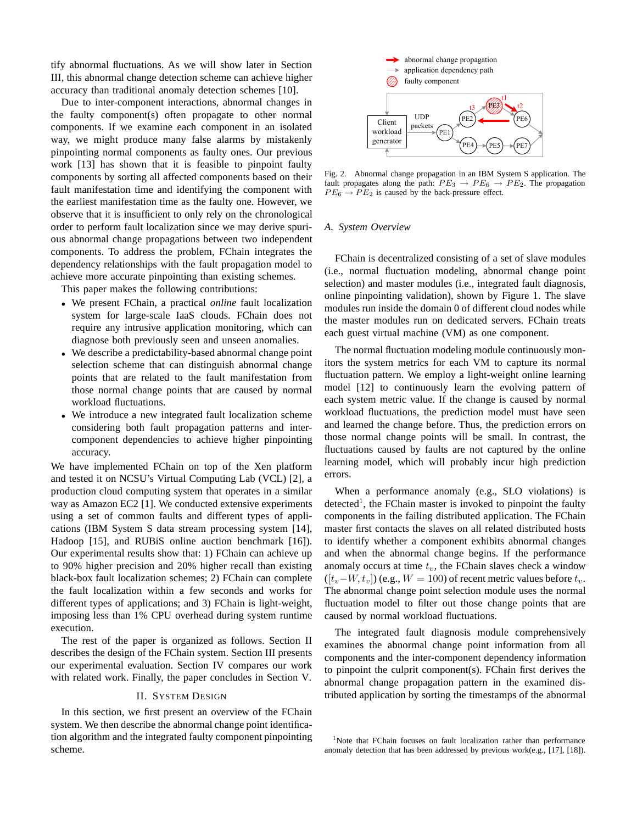tify abnormal fluctuations. As we will show later in Section III, this abnormal change detection scheme can achieve higher accuracy than traditional anomaly detection schemes [10].

Due to inter-component interactions, abnormal changes in the faulty component(s) often propagate to other normal components. If we examine each component in an isolated way, we might produce many false alarms by mistakenly pinpointing normal components as faulty ones. Our previous work [13] has shown that it is feasible to pinpoint faulty components by sorting all affected components based on their fault manifestation time and identifying the component with the earliest manifestation time as the faulty one. However, we observe that it is insufficient to only rely on the chronological order to perform fault localization since we may derive spurious abnormal change propagations between two independent components. To address the problem, FChain integrates the dependency relationships with the fault propagation model to achieve more accurate pinpointing than existing schemes.

This paper makes the following contributions:

- We present FChain, a practical *online* fault localization system for large-scale IaaS clouds. FChain does not require any intrusive application monitoring, which can diagnose both previously seen and unseen anomalies.
- We describe a predictability-based abnormal change point selection scheme that can distinguish abnormal change points that are related to the fault manifestation from those normal change points that are caused by normal workload fluctuations.
- We introduce a new integrated fault localization scheme considering both fault propagation patterns and intercomponent dependencies to achieve higher pinpointing accuracy.

We have implemented FChain on top of the Xen platform and tested it on NCSU's Virtual Computing Lab (VCL) [2], a production cloud computing system that operates in a similar way as Amazon EC2 [1]. We conducted extensive experiments using a set of common faults and different types of applications (IBM System S data stream processing system [14], Hadoop [15], and RUBiS online auction benchmark [16]). Our experimental results show that: 1) FChain can achieve up to 90% higher precision and 20% higher recall than existing black-box fault localization schemes; 2) FChain can complete the fault localization within a few seconds and works for different types of applications; and 3) FChain is light-weight, imposing less than 1% CPU overhead during system runtime execution.

The rest of the paper is organized as follows. Section II describes the design of the FChain system. Section III presents our experimental evaluation. Section IV compares our work with related work. Finally, the paper concludes in Section V.

## II. SYSTEM DESIGN

In this section, we first present an overview of the FChain system. We then describe the abnormal change point identification algorithm and the integrated faulty component pinpointing scheme.



Fig. 2. Abnormal change propagation in an IBM System S application. The fault propagates along the path:  $PE_3 \rightarrow PE_6 \rightarrow PE_2$ . The propagation  $PE_6 \rightarrow PE_2$  is caused by the back-pressure effect.

#### *A. System Overview*

FChain is decentralized consisting of a set of slave modules (i.e., normal fluctuation modeling, abnormal change point selection) and master modules (i.e., integrated fault diagnosis, online pinpointing validation), shown by Figure 1. The slave modules run inside the domain 0 of different cloud nodes while the master modules run on dedicated servers. FChain treats each guest virtual machine (VM) as one component.

The normal fluctuation modeling module continuously monitors the system metrics for each VM to capture its normal fluctuation pattern. We employ a light-weight online learning model [12] to continuously learn the evolving pattern of each system metric value. If the change is caused by normal workload fluctuations, the prediction model must have seen and learned the change before. Thus, the prediction errors on those normal change points will be small. In contrast, the fluctuations caused by faults are not captured by the online learning model, which will probably incur high prediction errors.

When a performance anomaly (e.g., SLO violations) is detected<sup>1</sup>, the FChain master is invoked to pinpoint the faulty components in the failing distributed application. The FChain master first contacts the slaves on all related distributed hosts to identify whether a component exhibits abnormal changes and when the abnormal change begins. If the performance anomaly occurs at time  $t_v$ , the FChain slaves check a window  $([t_v-W, t_v])$  (e.g.,  $W = 100$ ) of recent metric values before  $t_v$ . The abnormal change point selection module uses the normal fluctuation model to filter out those change points that are caused by normal workload fluctuations.

The integrated fault diagnosis module comprehensively examines the abnormal change point information from all components and the inter-component dependency information to pinpoint the culprit component(s). FChain first derives the abnormal change propagation pattern in the examined distributed application by sorting the timestamps of the abnormal

<sup>&</sup>lt;sup>1</sup>Note that FChain focuses on fault localization rather than performance anomaly detection that has been addressed by previous work(e.g., [17], [18]).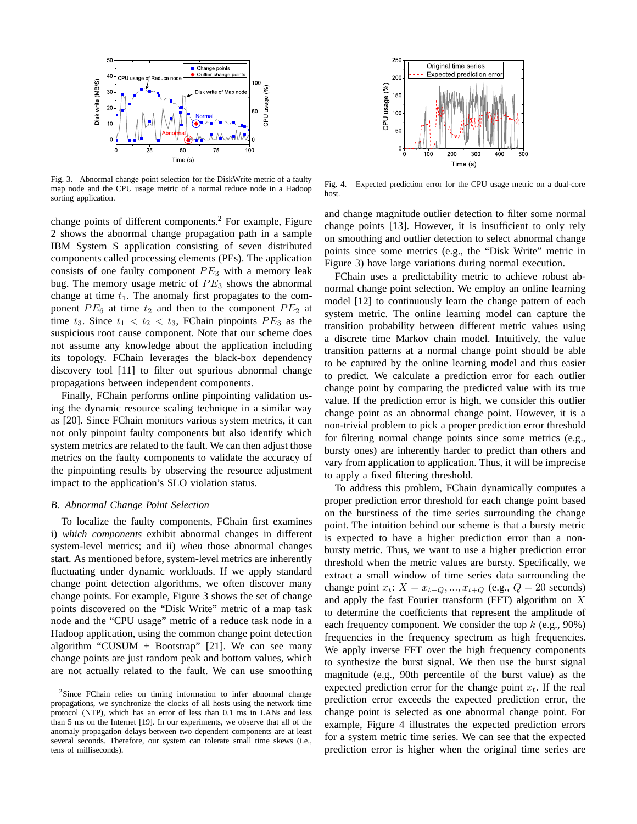

Fig. 3. Abnormal change point selection for the DiskWrite metric of a faulty map node and the CPU usage metric of a normal reduce node in a Hadoop sorting application.

change points of different components.<sup>2</sup> For example, Figure 2 shows the abnormal change propagation path in a sample IBM System S application consisting of seven distributed components called processing elements (PEs). The application consists of one faulty component  $PE<sub>3</sub>$  with a memory leak bug. The memory usage metric of  $PE<sub>3</sub>$  shows the abnormal change at time  $t_1$ . The anomaly first propagates to the component  $PE_6$  at time  $t_2$  and then to the component  $PE_2$  at time  $t_3$ . Since  $t_1 < t_2 < t_3$ , FChain pinpoints  $PE_3$  as the suspicious root cause component. Note that our scheme does not assume any knowledge about the application including its topology. FChain leverages the black-box dependency discovery tool [11] to filter out spurious abnormal change propagations between independent components.

Finally, FChain performs online pinpointing validation using the dynamic resource scaling technique in a similar way as [20]. Since FChain monitors various system metrics, it can not only pinpoint faulty components but also identify which system metrics are related to the fault. We can then adjust those metrics on the faulty components to validate the accuracy of the pinpointing results by observing the resource adjustment impact to the application's SLO violation status.

#### *B. Abnormal Change Point Selection*

To localize the faulty components, FChain first examines i) *which components* exhibit abnormal changes in different system-level metrics; and ii) *when* those abnormal changes start. As mentioned before, system-level metrics are inherently fluctuating under dynamic workloads. If we apply standard change point detection algorithms, we often discover many change points. For example, Figure 3 shows the set of change points discovered on the "Disk Write" metric of a map task node and the "CPU usage" metric of a reduce task node in a Hadoop application, using the common change point detection algorithm "CUSUM + Bootstrap" [21]. We can see many change points are just random peak and bottom values, which are not actually related to the fault. We can use smoothing



Fig. 4. Expected prediction error for the CPU usage metric on a dual-core host.

and change magnitude outlier detection to filter some normal change points [13]. However, it is insufficient to only rely on smoothing and outlier detection to select abnormal change points since some metrics (e.g., the "Disk Write" metric in Figure 3) have large variations during normal execution.

FChain uses a predictability metric to achieve robust abnormal change point selection. We employ an online learning model [12] to continuously learn the change pattern of each system metric. The online learning model can capture the transition probability between different metric values using a discrete time Markov chain model. Intuitively, the value transition patterns at a normal change point should be able to be captured by the online learning model and thus easier to predict. We calculate a prediction error for each outlier change point by comparing the predicted value with its true value. If the prediction error is high, we consider this outlier change point as an abnormal change point. However, it is a non-trivial problem to pick a proper prediction error threshold for filtering normal change points since some metrics (e.g., bursty ones) are inherently harder to predict than others and vary from application to application. Thus, it will be imprecise to apply a fixed filtering threshold.

To address this problem, FChain dynamically computes a proper prediction error threshold for each change point based on the burstiness of the time series surrounding the change point. The intuition behind our scheme is that a bursty metric is expected to have a higher prediction error than a nonbursty metric. Thus, we want to use a higher prediction error threshold when the metric values are bursty. Specifically, we extract a small window of time series data surrounding the change point  $x_t$ :  $X = x_{t-Q}, ..., x_{t+Q}$  (e.g.,  $Q = 20$  seconds) and apply the fast Fourier transform (FFT) algorithm on  $X$ to determine the coefficients that represent the amplitude of each frequency component. We consider the top  $k$  (e.g., 90%) frequencies in the frequency spectrum as high frequencies. We apply inverse FFT over the high frequency components to synthesize the burst signal. We then use the burst signal magnitude (e.g., 90th percentile of the burst value) as the expected prediction error for the change point  $x_t$ . If the real prediction error exceeds the expected prediction error, the change point is selected as one abnormal change point. For example, Figure 4 illustrates the expected prediction errors for a system metric time series. We can see that the expected prediction error is higher when the original time series are

<sup>&</sup>lt;sup>2</sup>Since FChain relies on timing information to infer abnormal change propagations, we synchronize the clocks of all hosts using the network time protocol (NTP), which has an error of less than 0.1 ms in LANs and less than 5 ms on the Internet [19]. In our experiments, we observe that all of the anomaly propagation delays between two dependent components are at least several seconds. Therefore, our system can tolerate small time skews (i.e., tens of milliseconds).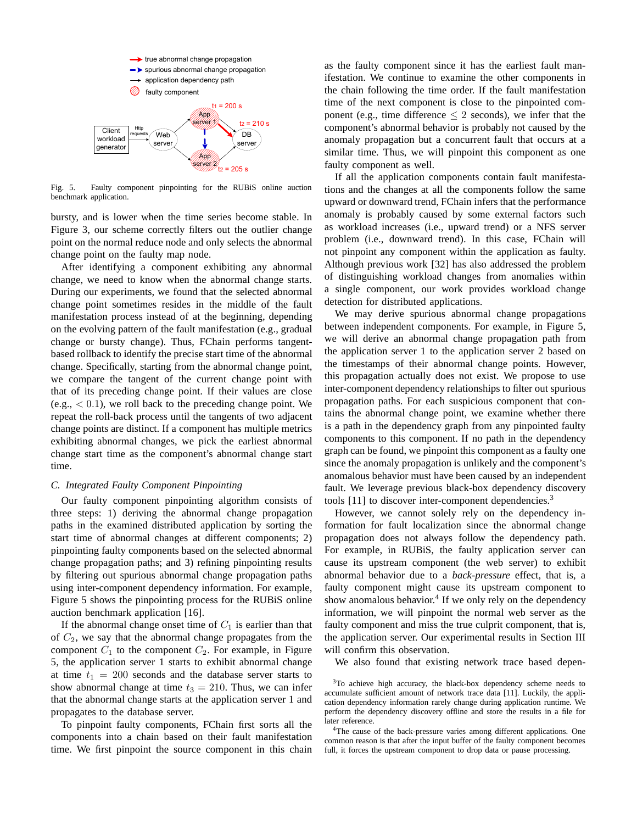

Fig. 5. Faulty component pinpointing for the RUBiS online auction benchmark application.

bursty, and is lower when the time series become stable. In Figure 3, our scheme correctly filters out the outlier change point on the normal reduce node and only selects the abnormal change point on the faulty map node.

After identifying a component exhibiting any abnormal change, we need to know when the abnormal change starts. During our experiments, we found that the selected abnormal change point sometimes resides in the middle of the fault manifestation process instead of at the beginning, depending on the evolving pattern of the fault manifestation (e.g., gradual change or bursty change). Thus, FChain performs tangentbased rollback to identify the precise start time of the abnormal change. Specifically, starting from the abnormal change point, we compare the tangent of the current change point with that of its preceding change point. If their values are close  $(e.g., < 0.1)$ , we roll back to the preceding change point. We repeat the roll-back process until the tangents of two adjacent change points are distinct. If a component has multiple metrics exhibiting abnormal changes, we pick the earliest abnormal change start time as the component's abnormal change start time.

# *C. Integrated Faulty Component Pinpointing*

Our faulty component pinpointing algorithm consists of three steps: 1) deriving the abnormal change propagation paths in the examined distributed application by sorting the start time of abnormal changes at different components; 2) pinpointing faulty components based on the selected abnormal change propagation paths; and 3) refining pinpointing results by filtering out spurious abnormal change propagation paths using inter-component dependency information. For example, Figure 5 shows the pinpointing process for the RUBiS online auction benchmark application [16].

If the abnormal change onset time of  $C_1$  is earlier than that of  $C_2$ , we say that the abnormal change propagates from the component  $C_1$  to the component  $C_2$ . For example, in Figure 5, the application server 1 starts to exhibit abnormal change at time  $t_1 = 200$  seconds and the database server starts to show abnormal change at time  $t_3 = 210$ . Thus, we can infer that the abnormal change starts at the application server 1 and propagates to the database server.

To pinpoint faulty components, FChain first sorts all the components into a chain based on their fault manifestation time. We first pinpoint the source component in this chain

as the faulty component since it has the earliest fault manifestation. We continue to examine the other components in the chain following the time order. If the fault manifestation time of the next component is close to the pinpointed component (e.g., time difference  $\leq 2$  seconds), we infer that the component's abnormal behavior is probably not caused by the anomaly propagation but a concurrent fault that occurs at a similar time. Thus, we will pinpoint this component as one faulty component as well.

If all the application components contain fault manifestations and the changes at all the components follow the same upward or downward trend, FChain infers that the performance anomaly is probably caused by some external factors such as workload increases (i.e., upward trend) or a NFS server problem (i.e., downward trend). In this case, FChain will not pinpoint any component within the application as faulty. Although previous work [32] has also addressed the problem of distinguishing workload changes from anomalies within a single component, our work provides workload change detection for distributed applications.

We may derive spurious abnormal change propagations between independent components. For example, in Figure 5, we will derive an abnormal change propagation path from the application server 1 to the application server 2 based on the timestamps of their abnormal change points. However, this propagation actually does not exist. We propose to use inter-component dependency relationships to filter out spurious propagation paths. For each suspicious component that contains the abnormal change point, we examine whether there is a path in the dependency graph from any pinpointed faulty components to this component. If no path in the dependency graph can be found, we pinpoint this component as a faulty one since the anomaly propagation is unlikely and the component's anomalous behavior must have been caused by an independent fault. We leverage previous black-box dependency discovery tools [11] to discover inter-component dependencies.<sup>3</sup>

However, we cannot solely rely on the dependency information for fault localization since the abnormal change propagation does not always follow the dependency path. For example, in RUBiS, the faulty application server can cause its upstream component (the web server) to exhibit abnormal behavior due to a *back-pressure* effect, that is, a faulty component might cause its upstream component to show anomalous behavior.<sup>4</sup> If we only rely on the dependency information, we will pinpoint the normal web server as the faulty component and miss the true culprit component, that is, the application server. Our experimental results in Section III will confirm this observation.

We also found that existing network trace based depen-

<sup>&</sup>lt;sup>3</sup>To achieve high accuracy, the black-box dependency scheme needs to accumulate sufficient amount of network trace data [11]. Luckily, the application dependency information rarely change during application runtime. We perform the dependency discovery offline and store the results in a file for later reference.

<sup>&</sup>lt;sup>4</sup>The cause of the back-pressure varies among different applications. One common reason is that after the input buffer of the faulty component becomes full, it forces the upstream component to drop data or pause processing.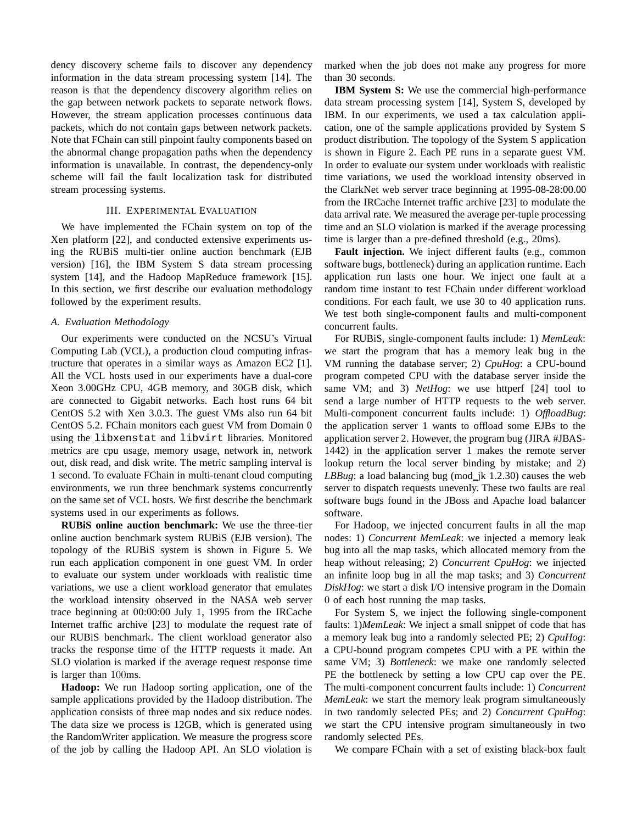dency discovery scheme fails to discover any dependency information in the data stream processing system [14]. The reason is that the dependency discovery algorithm relies on the gap between network packets to separate network flows. However, the stream application processes continuous data packets, which do not contain gaps between network packets. Note that FChain can still pinpoint faulty components based on the abnormal change propagation paths when the dependency information is unavailable. In contrast, the dependency-only scheme will fail the fault localization task for distributed stream processing systems.

# III. EXPERIMENTAL EVALUATION

We have implemented the FChain system on top of the Xen platform [22], and conducted extensive experiments using the RUBiS multi-tier online auction benchmark (EJB version) [16], the IBM System S data stream processing system [14], and the Hadoop MapReduce framework [15]. In this section, we first describe our evaluation methodology followed by the experiment results.

# *A. Evaluation Methodology*

Our experiments were conducted on the NCSU's Virtual Computing Lab (VCL), a production cloud computing infrastructure that operates in a similar ways as Amazon EC2 [1]. All the VCL hosts used in our experiments have a dual-core Xeon 3.00GHz CPU, 4GB memory, and 30GB disk, which are connected to Gigabit networks. Each host runs 64 bit CentOS 5.2 with Xen 3.0.3. The guest VMs also run 64 bit CentOS 5.2. FChain monitors each guest VM from Domain 0 using the libxenstat and libvirt libraries. Monitored metrics are cpu usage, memory usage, network in, network out, disk read, and disk write. The metric sampling interval is 1 second. To evaluate FChain in multi-tenant cloud computing environments, we run three benchmark systems concurrently on the same set of VCL hosts. We first describe the benchmark systems used in our experiments as follows.

**RUBiS online auction benchmark:** We use the three-tier online auction benchmark system RUBiS (EJB version). The topology of the RUBiS system is shown in Figure 5. We run each application component in one guest VM. In order to evaluate our system under workloads with realistic time variations, we use a client workload generator that emulates the workload intensity observed in the NASA web server trace beginning at 00:00:00 July 1, 1995 from the IRCache Internet traffic archive [23] to modulate the request rate of our RUBiS benchmark. The client workload generator also tracks the response time of the HTTP requests it made. An SLO violation is marked if the average request response time is larger than 100ms.

**Hadoop:** We run Hadoop sorting application, one of the sample applications provided by the Hadoop distribution. The application consists of three map nodes and six reduce nodes. The data size we process is 12GB, which is generated using the RandomWriter application. We measure the progress score of the job by calling the Hadoop API. An SLO violation is marked when the job does not make any progress for more than 30 seconds.

**IBM System S:** We use the commercial high-performance data stream processing system [14], System S, developed by IBM. In our experiments, we used a tax calculation application, one of the sample applications provided by System S product distribution. The topology of the System S application is shown in Figure 2. Each PE runs in a separate guest VM. In order to evaluate our system under workloads with realistic time variations, we used the workload intensity observed in the ClarkNet web server trace beginning at 1995-08-28:00.00 from the IRCache Internet traffic archive [23] to modulate the data arrival rate. We measured the average per-tuple processing time and an SLO violation is marked if the average processing time is larger than a pre-defined threshold (e.g., 20ms).

**Fault injection.** We inject different faults (e.g., common software bugs, bottleneck) during an application runtime. Each application run lasts one hour. We inject one fault at a random time instant to test FChain under different workload conditions. For each fault, we use 30 to 40 application runs. We test both single-component faults and multi-component concurrent faults.

For RUBiS, single-component faults include: 1) *MemLeak*: we start the program that has a memory leak bug in the VM running the database server; 2) *CpuHog*: a CPU-bound program competed CPU with the database server inside the same VM; and 3) *NetHog*: we use httperf [24] tool to send a large number of HTTP requests to the web server. Multi-component concurrent faults include: 1) *OffloadBug*: the application server 1 wants to offload some EJBs to the application server 2. However, the program bug (JIRA #JBAS-1442) in the application server 1 makes the remote server lookup return the local server binding by mistake; and 2) *LBBug*: a load balancing bug (mod\_jk 1.2.30) causes the web server to dispatch requests unevenly. These two faults are real software bugs found in the JBoss and Apache load balancer software.

For Hadoop, we injected concurrent faults in all the map nodes: 1) *Concurrent MemLeak*: we injected a memory leak bug into all the map tasks, which allocated memory from the heap without releasing; 2) *Concurrent CpuHog*: we injected an infinite loop bug in all the map tasks; and 3) *Concurrent DiskHog*: we start a disk I/O intensive program in the Domain 0 of each host running the map tasks.

For System S, we inject the following single-component faults: 1)*MemLeak*: We inject a small snippet of code that has a memory leak bug into a randomly selected PE; 2) *CpuHog*: a CPU-bound program competes CPU with a PE within the same VM; 3) *Bottleneck*: we make one randomly selected PE the bottleneck by setting a low CPU cap over the PE. The multi-component concurrent faults include: 1) *Concurrent MemLeak*: we start the memory leak program simultaneously in two randomly selected PEs; and 2) *Concurrent CpuHog*: we start the CPU intensive program simultaneously in two randomly selected PEs.

We compare FChain with a set of existing black-box fault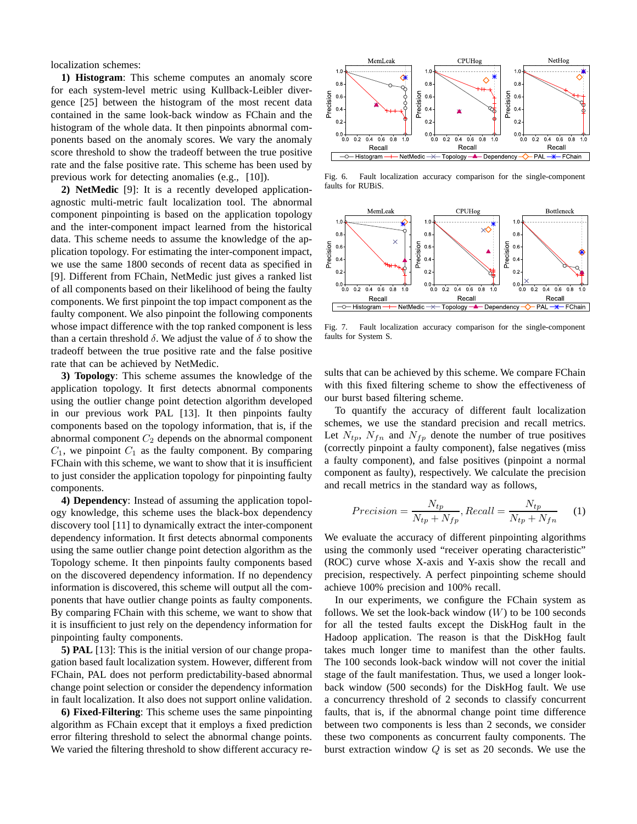localization schemes:

**1) Histogram**: This scheme computes an anomaly score for each system-level metric using Kullback-Leibler divergence [25] between the histogram of the most recent data contained in the same look-back window as FChain and the histogram of the whole data. It then pinpoints abnormal components based on the anomaly scores. We vary the anomaly score threshold to show the tradeoff between the true positive rate and the false positive rate. This scheme has been used by previous work for detecting anomalies (e.g., [10]).

**2) NetMedic** [9]: It is a recently developed applicationagnostic multi-metric fault localization tool. The abnormal component pinpointing is based on the application topology and the inter-component impact learned from the historical data. This scheme needs to assume the knowledge of the application topology. For estimating the inter-component impact, we use the same 1800 seconds of recent data as specified in [9]. Different from FChain, NetMedic just gives a ranked list of all components based on their likelihood of being the faulty components. We first pinpoint the top impact component as the faulty component. We also pinpoint the following components whose impact difference with the top ranked component is less than a certain threshold  $\delta$ . We adjust the value of  $\delta$  to show the tradeoff between the true positive rate and the false positive rate that can be achieved by NetMedic.

**3) Topology**: This scheme assumes the knowledge of the application topology. It first detects abnormal components using the outlier change point detection algorithm developed in our previous work PAL [13]. It then pinpoints faulty components based on the topology information, that is, if the abnormal component  $C_2$  depends on the abnormal component  $C_1$ , we pinpoint  $C_1$  as the faulty component. By comparing FChain with this scheme, we want to show that it is insufficient to just consider the application topology for pinpointing faulty components.

**4) Dependency**: Instead of assuming the application topology knowledge, this scheme uses the black-box dependency discovery tool [11] to dynamically extract the inter-component dependency information. It first detects abnormal components using the same outlier change point detection algorithm as the Topology scheme. It then pinpoints faulty components based on the discovered dependency information. If no dependency information is discovered, this scheme will output all the components that have outlier change points as faulty components. By comparing FChain with this scheme, we want to show that it is insufficient to just rely on the dependency information for pinpointing faulty components.

**5) PAL** [13]: This is the initial version of our change propagation based fault localization system. However, different from FChain, PAL does not perform predictability-based abnormal change point selection or consider the dependency information in fault localization. It also does not support online validation.

**6) Fixed-Filtering**: This scheme uses the same pinpointing algorithm as FChain except that it employs a fixed prediction error filtering threshold to select the abnormal change points. We varied the filtering threshold to show different accuracy re-



Fig. 6. Fault localization accuracy comparison for the single-component faults for RUBiS.



Fig. 7. Fault localization accuracy comparison for the single-component faults for System S.

sults that can be achieved by this scheme. We compare FChain with this fixed filtering scheme to show the effectiveness of our burst based filtering scheme.

To quantify the accuracy of different fault localization schemes, we use the standard precision and recall metrics. Let  $N_{tn}$ ,  $N_{fn}$  and  $N_{fn}$  denote the number of true positives (correctly pinpoint a faulty component), false negatives (miss a faulty component), and false positives (pinpoint a normal component as faulty), respectively. We calculate the precision and recall metrics in the standard way as follows,

$$
Precision = \frac{N_{tp}}{N_{tp} + N_{fp}}, Recall = \frac{N_{tp}}{N_{tp} + N_{fn}} \tag{1}
$$

We evaluate the accuracy of different pinpointing algorithms using the commonly used "receiver operating characteristic" (ROC) curve whose X-axis and Y-axis show the recall and precision, respectively. A perfect pinpointing scheme should achieve 100% precision and 100% recall.

In our experiments, we configure the FChain system as follows. We set the look-back window  $(W)$  to be 100 seconds for all the tested faults except the DiskHog fault in the Hadoop application. The reason is that the DiskHog fault takes much longer time to manifest than the other faults. The 100 seconds look-back window will not cover the initial stage of the fault manifestation. Thus, we used a longer lookback window (500 seconds) for the DiskHog fault. We use a concurrency threshold of 2 seconds to classify concurrent faults, that is, if the abnormal change point time difference between two components is less than 2 seconds, we consider these two components as concurrent faulty components. The burst extraction window  $Q$  is set as 20 seconds. We use the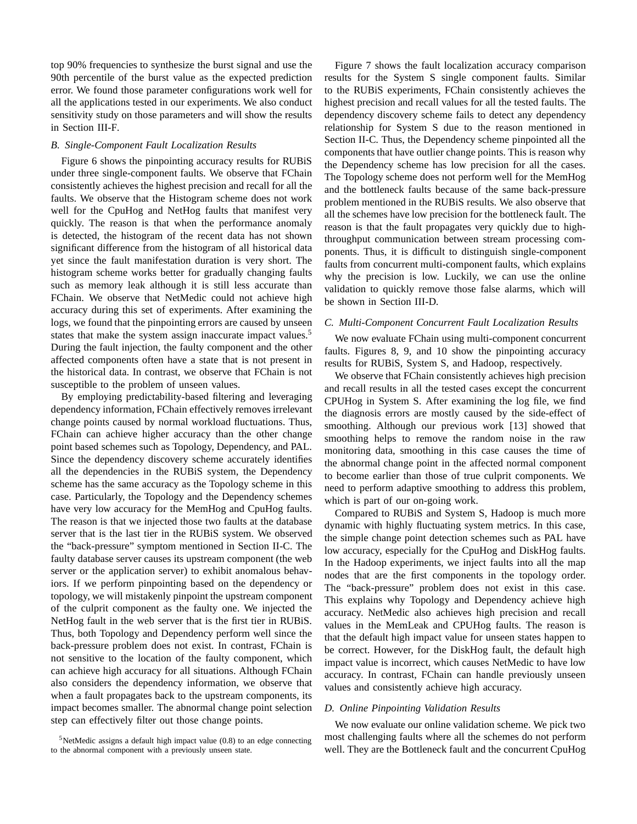top 90% frequencies to synthesize the burst signal and use the 90th percentile of the burst value as the expected prediction error. We found those parameter configurations work well for all the applications tested in our experiments. We also conduct sensitivity study on those parameters and will show the results in Section III-F.

# *B. Single-Component Fault Localization Results*

Figure 6 shows the pinpointing accuracy results for RUBiS under three single-component faults. We observe that FChain consistently achieves the highest precision and recall for all the faults. We observe that the Histogram scheme does not work well for the CpuHog and NetHog faults that manifest very quickly. The reason is that when the performance anomaly is detected, the histogram of the recent data has not shown significant difference from the histogram of all historical data yet since the fault manifestation duration is very short. The histogram scheme works better for gradually changing faults such as memory leak although it is still less accurate than FChain. We observe that NetMedic could not achieve high accuracy during this set of experiments. After examining the logs, we found that the pinpointing errors are caused by unseen states that make the system assign inaccurate impact values.<sup>5</sup> During the fault injection, the faulty component and the other affected components often have a state that is not present in the historical data. In contrast, we observe that FChain is not susceptible to the problem of unseen values.

By employing predictability-based filtering and leveraging dependency information, FChain effectively removes irrelevant change points caused by normal workload fluctuations. Thus, FChain can achieve higher accuracy than the other change point based schemes such as Topology, Dependency, and PAL. Since the dependency discovery scheme accurately identifies all the dependencies in the RUBiS system, the Dependency scheme has the same accuracy as the Topology scheme in this case. Particularly, the Topology and the Dependency schemes have very low accuracy for the MemHog and CpuHog faults. The reason is that we injected those two faults at the database server that is the last tier in the RUBiS system. We observed the "back-pressure" symptom mentioned in Section II-C. The faulty database server causes its upstream component (the web server or the application server) to exhibit anomalous behaviors. If we perform pinpointing based on the dependency or topology, we will mistakenly pinpoint the upstream component of the culprit component as the faulty one. We injected the NetHog fault in the web server that is the first tier in RUBiS. Thus, both Topology and Dependency perform well since the back-pressure problem does not exist. In contrast, FChain is not sensitive to the location of the faulty component, which can achieve high accuracy for all situations. Although FChain also considers the dependency information, we observe that when a fault propagates back to the upstream components, its impact becomes smaller. The abnormal change point selection step can effectively filter out those change points.

Figure 7 shows the fault localization accuracy comparison results for the System S single component faults. Similar to the RUBiS experiments, FChain consistently achieves the highest precision and recall values for all the tested faults. The dependency discovery scheme fails to detect any dependency relationship for System S due to the reason mentioned in Section II-C. Thus, the Dependency scheme pinpointed all the components that have outlier change points. This is reason why the Dependency scheme has low precision for all the cases. The Topology scheme does not perform well for the MemHog and the bottleneck faults because of the same back-pressure problem mentioned in the RUBiS results. We also observe that all the schemes have low precision for the bottleneck fault. The reason is that the fault propagates very quickly due to highthroughput communication between stream processing components. Thus, it is difficult to distinguish single-component faults from concurrent multi-component faults, which explains why the precision is low. Luckily, we can use the online validation to quickly remove those false alarms, which will be shown in Section III-D.

#### *C. Multi-Component Concurrent Fault Localization Results*

We now evaluate FChain using multi-component concurrent faults. Figures 8, 9, and 10 show the pinpointing accuracy results for RUBiS, System S, and Hadoop, respectively.

We observe that FChain consistently achieves high precision and recall results in all the tested cases except the concurrent CPUHog in System S. After examining the log file, we find the diagnosis errors are mostly caused by the side-effect of smoothing. Although our previous work [13] showed that smoothing helps to remove the random noise in the raw monitoring data, smoothing in this case causes the time of the abnormal change point in the affected normal component to become earlier than those of true culprit components. We need to perform adaptive smoothing to address this problem, which is part of our on-going work.

Compared to RUBiS and System S, Hadoop is much more dynamic with highly fluctuating system metrics. In this case, the simple change point detection schemes such as PAL have low accuracy, especially for the CpuHog and DiskHog faults. In the Hadoop experiments, we inject faults into all the map nodes that are the first components in the topology order. The "back-pressure" problem does not exist in this case. This explains why Topology and Dependency achieve high accuracy. NetMedic also achieves high precision and recall values in the MemLeak and CPUHog faults. The reason is that the default high impact value for unseen states happen to be correct. However, for the DiskHog fault, the default high impact value is incorrect, which causes NetMedic to have low accuracy. In contrast, FChain can handle previously unseen values and consistently achieve high accuracy.

## *D. Online Pinpointing Validation Results*

We now evaluate our online validation scheme. We pick two most challenging faults where all the schemes do not perform well. They are the Bottleneck fault and the concurrent CpuHog

 $5$ NetMedic assigns a default high impact value (0.8) to an edge connecting to the abnormal component with a previously unseen state.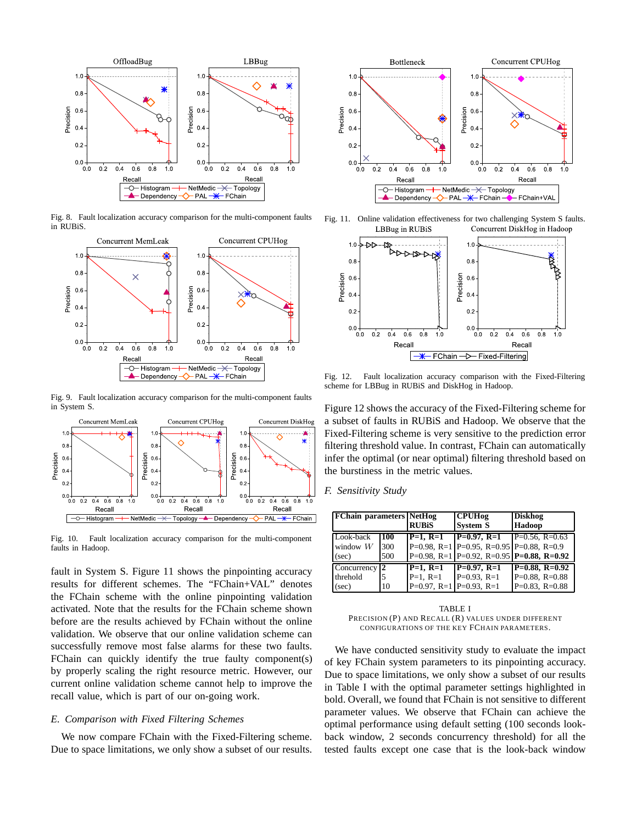

Fig. 8. Fault localization accuracy comparison for the multi-component faults in RUBiS.



Fig. 9. Fault localization accuracy comparison for the multi-component faults in System S.



Fig. 10. Fault localization accuracy comparison for the multi-component faults in Hadoop.

fault in System S. Figure 11 shows the pinpointing accuracy results for different schemes. The "FChain+VAL" denotes the FChain scheme with the online pinpointing validation activated. Note that the results for the FChain scheme shown before are the results achieved by FChain without the online validation. We observe that our online validation scheme can successfully remove most false alarms for these two faults. FChain can quickly identify the true faulty component(s) by properly scaling the right resource metric. However, our current online validation scheme cannot help to improve the recall value, which is part of our on-going work.

# *E. Comparison with Fixed Filtering Schemes*

We now compare FChain with the Fixed-Filtering scheme. Due to space limitations, we only show a subset of our results.



Fig. 11. Online validation effectiveness for two challenging System S faults. LBBug in RUBiS Concurrent DiskHog in Hadoop



Fig. 12. Fault localization accuracy comparison with the Fixed-Filtering scheme for LBBug in RUBiS and DiskHog in Hadoop.

Figure 12 shows the accuracy of the Fixed-Filtering scheme for a subset of faults in RUBiS and Hadoop. We observe that the Fixed-Filtering scheme is very sensitive to the prediction error filtering threshold value. In contrast, FChain can automatically infer the optimal (or near optimal) filtering threshold based on the burstiness in the metric values.

*F. Sensitivity Study*

| <b>FChain parameters NetHog</b>  |                     | <b>RUBiS</b>                                           | <b>CPUHog</b><br><b>System S</b>                          | <b>Diskhog</b><br>Hadoop                                       |
|----------------------------------|---------------------|--------------------------------------------------------|-----------------------------------------------------------|----------------------------------------------------------------|
| Look-back<br>window $W$<br>(sec) | 100<br>300<br>500   | $P=1. R=1$                                             | $P=0.97, R=1$<br>P=0.98, R=1 P=0.95, R=0.95 P=0.88, R=0.9 | $P=0.56$ , R=0.63<br>P=0.98, R=1 P=0.92, R=0.95 P=0.88, R=0.92 |
| Concurrency<br>threhold<br>(sec) | <u>2</u><br>5<br>10 | $P=1, R=1$<br>$P=1, R=1$<br>$P=0.97$ , R=1 P=0.93, R=1 | $P=0.97, R=1$<br>$P=0.93, R=1$                            | $P=0.88, R=0.92$<br>$P=0.88$ , R=0.88<br>$P=0.83$ , R=0.88     |

TABLE I PRECISION (P) AND RECALL (R) VALUES UNDER DIFFERENT CONFIGURATIONS OF THE KEY FCHAIN PARAMETERS.

We have conducted sensitivity study to evaluate the impact of key FChain system parameters to its pinpointing accuracy. Due to space limitations, we only show a subset of our results in Table I with the optimal parameter settings highlighted in bold. Overall, we found that FChain is not sensitive to different parameter values. We observe that FChain can achieve the optimal performance using default setting (100 seconds lookback window, 2 seconds concurrency threshold) for all the tested faults except one case that is the look-back window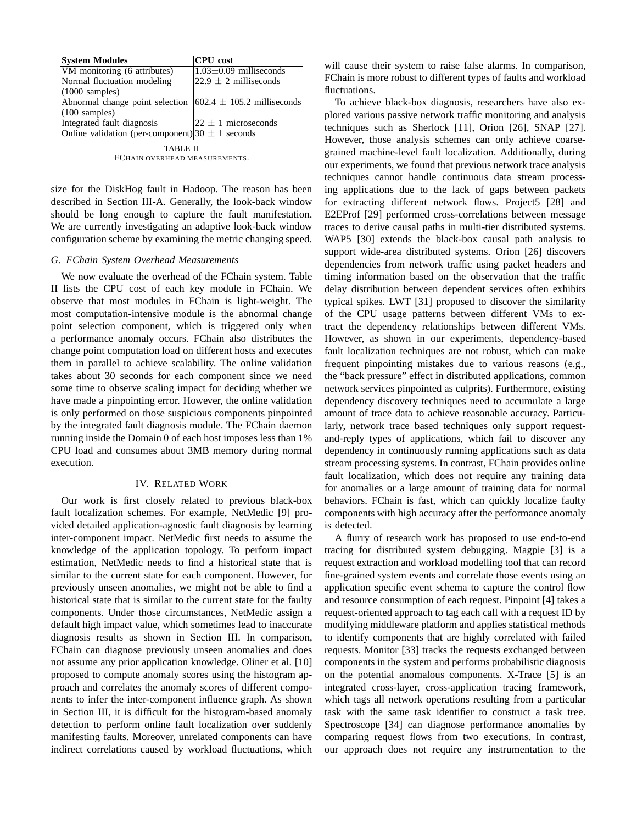| <b>System Modules</b>                                | <b>CPU</b> cost                |  |  |  |
|------------------------------------------------------|--------------------------------|--|--|--|
| VM monitoring (6 attributes)                         | $1.03 \pm 0.09$ milliseconds   |  |  |  |
| Normal fluctuation modeling                          | $22.9 \pm 2$ milliseconds      |  |  |  |
| $(1000 \text{ samples})$                             |                                |  |  |  |
| Abnormal change point selection                      | $602.4 \pm 105.2$ milliseconds |  |  |  |
| $(100 \text{ samples})$                              |                                |  |  |  |
| Integrated fault diagnosis                           | $22 \pm 1$ microseconds        |  |  |  |
| Online validation (per-component) $30 \pm 1$ seconds |                                |  |  |  |
| TABLE II                                             |                                |  |  |  |
| FCHAIN OVERHEAD MEASUREMENTS.                        |                                |  |  |  |

size for the DiskHog fault in Hadoop. The reason has been described in Section III-A. Generally, the look-back window should be long enough to capture the fault manifestation. We are currently investigating an adaptive look-back window configuration scheme by examining the metric changing speed.

## *G. FChain System Overhead Measurements*

We now evaluate the overhead of the FChain system. Table II lists the CPU cost of each key module in FChain. We observe that most modules in FChain is light-weight. The most computation-intensive module is the abnormal change point selection component, which is triggered only when a performance anomaly occurs. FChain also distributes the change point computation load on different hosts and executes them in parallel to achieve scalability. The online validation takes about 30 seconds for each component since we need some time to observe scaling impact for deciding whether we have made a pinpointing error. However, the online validation is only performed on those suspicious components pinpointed by the integrated fault diagnosis module. The FChain daemon running inside the Domain 0 of each host imposes less than 1% CPU load and consumes about 3MB memory during normal execution.

# IV. RELATED WORK

Our work is first closely related to previous black-box fault localization schemes. For example, NetMedic [9] provided detailed application-agnostic fault diagnosis by learning inter-component impact. NetMedic first needs to assume the knowledge of the application topology. To perform impact estimation, NetMedic needs to find a historical state that is similar to the current state for each component. However, for previously unseen anomalies, we might not be able to find a historical state that is similar to the current state for the faulty components. Under those circumstances, NetMedic assign a default high impact value, which sometimes lead to inaccurate diagnosis results as shown in Section III. In comparison, FChain can diagnose previously unseen anomalies and does not assume any prior application knowledge. Oliner et al. [10] proposed to compute anomaly scores using the histogram approach and correlates the anomaly scores of different components to infer the inter-component influence graph. As shown in Section III, it is difficult for the histogram-based anomaly detection to perform online fault localization over suddenly manifesting faults. Moreover, unrelated components can have indirect correlations caused by workload fluctuations, which

will cause their system to raise false alarms. In comparison, FChain is more robust to different types of faults and workload fluctuations.

To achieve black-box diagnosis, researchers have also explored various passive network traffic monitoring and analysis techniques such as Sherlock [11], Orion [26], SNAP [27]. However, those analysis schemes can only achieve coarsegrained machine-level fault localization. Additionally, during our experiments, we found that previous network trace analysis techniques cannot handle continuous data stream processing applications due to the lack of gaps between packets for extracting different network flows. Project5 [28] and E2EProf [29] performed cross-correlations between message traces to derive causal paths in multi-tier distributed systems. WAP5 [30] extends the black-box causal path analysis to support wide-area distributed systems. Orion [26] discovers dependencies from network traffic using packet headers and timing information based on the observation that the traffic delay distribution between dependent services often exhibits typical spikes. LWT [31] proposed to discover the similarity of the CPU usage patterns between different VMs to extract the dependency relationships between different VMs. However, as shown in our experiments, dependency-based fault localization techniques are not robust, which can make frequent pinpointing mistakes due to various reasons (e.g., the "back pressure" effect in distributed applications, common network services pinpointed as culprits). Furthermore, existing dependency discovery techniques need to accumulate a large amount of trace data to achieve reasonable accuracy. Particularly, network trace based techniques only support requestand-reply types of applications, which fail to discover any dependency in continuously running applications such as data stream processing systems. In contrast, FChain provides online fault localization, which does not require any training data for anomalies or a large amount of training data for normal behaviors. FChain is fast, which can quickly localize faulty components with high accuracy after the performance anomaly is detected.

A flurry of research work has proposed to use end-to-end tracing for distributed system debugging. Magpie [3] is a request extraction and workload modelling tool that can record fine-grained system events and correlate those events using an application specific event schema to capture the control flow and resource consumption of each request. Pinpoint [4] takes a request-oriented approach to tag each call with a request ID by modifying middleware platform and applies statistical methods to identify components that are highly correlated with failed requests. Monitor [33] tracks the requests exchanged between components in the system and performs probabilistic diagnosis on the potential anomalous components. X-Trace [5] is an integrated cross-layer, cross-application tracing framework, which tags all network operations resulting from a particular task with the same task identifier to construct a task tree. Spectroscope [34] can diagnose performance anomalies by comparing request flows from two executions. In contrast, our approach does not require any instrumentation to the